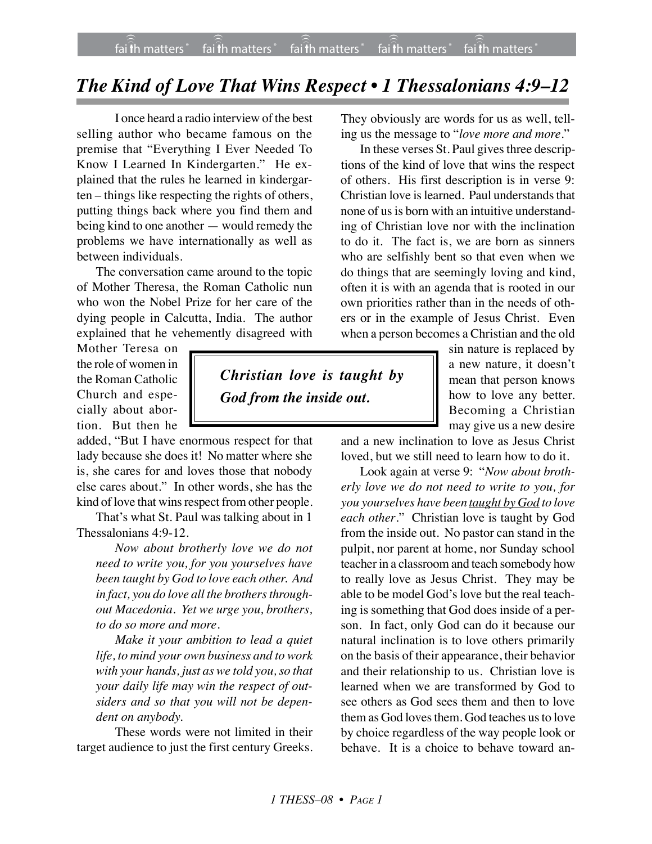## *The Kind of Love That Wins Respect • 1 Thessalonians 4:9–12*

*Christian love is taught by*

*God from the inside out.*

I once heard a radio interview of the best selling author who became famous on the premise that "Everything I Ever Needed To Know I Learned In Kindergarten." He explained that the rules he learned in kindergarten – things like respecting the rights of others, putting things back where you find them and being kind to one another — would remedy the problems we have internationally as well as between individuals.

The conversation came around to the topic of Mother Theresa, the Roman Catholic nun who won the Nobel Prize for her care of the dying people in Calcutta, India. The author explained that he vehemently disagreed with

Mother Teresa on the role of women in the Roman Catholic Church and especially about abortion. But then he

added, "But I have enormous respect for that lady because she does it! No matter where she is, she cares for and loves those that nobody else cares about." In other words, she has the kind of love that wins respect from other people.

That's what St. Paul was talking about in 1 Thessalonians 4:9-12.

*Now about brotherly love we do not need to write you, for you yourselves have been taught by God to love each other. And* in fact, you do love all the brothers through*out Macedonia. Yet we urge you, brothers, to do so more and more.*

*Make it your ambition to lead a quiet life, to mind your own business and to work with your hands, just as we told you, so that your daily life may win the respect of outsiders and so that you will not be dependent on anybody.*

These words were not limited in their target audience to just the first century Greeks.

They obviously are words for us as well, telling us the message to "*love more and more*."

In these verses St. Paul gives three descriptions of the kind of love that wins the respect of others. His first description is in verse 9: Christian love is learned. Paul understands that none of us is born with an intuitive understanding of Christian love nor with the inclination to do it. The fact is, we are born as sinners who are selfishly bent so that even when we do things that are seemingly loving and kind, often it is with an agenda that is rooted in our own priorities rather than in the needs of others or in the example of Jesus Christ. Even when a person becomes a Christian and the old

> sin nature is replaced by a new nature, it doesn't mean that person knows how to love any better. Becoming a Christian may give us a new desire

and a new inclination to love as Jesus Christ loved, but we still need to learn how to do it.

Look again at verse 9: "*Now about brotherly love we do not need to write to you, for you yourselves have been taught by God to love each other*." Christian love is taught by God from the inside out. No pastor can stand in the pulpit, nor parent at home, nor Sunday school teacher in a classroom and teach somebody how to really love as Jesus Christ. They may be able to be model God's love but the real teaching is something that God does inside of a person. In fact, only God can do it because our natural inclination is to love others primarily on the basis of their appearance, their behavior and their relationship to us. Christian love is learned when we are transformed by God to see others as God sees them and then to love them as God loves them. God teaches us to love by choice regardless of the way people look or behave. It is a choice to behave toward an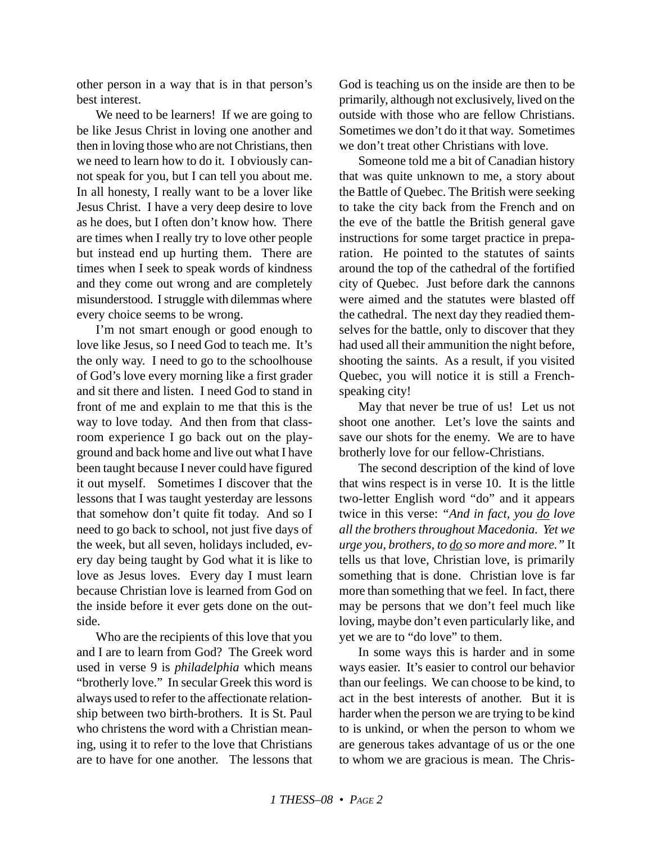other person in a way that is in that person's best interest.

We need to be learners! If we are going to be like Jesus Christ in loving one another and then in loving those who are not Christians, then we need to learn how to do it. I obviously cannot speak for you, but I can tell you about me. In all honesty, I really want to be a lover like Jesus Christ. I have a very deep desire to love as he does, but I often don't know how. There are times when I really try to love other people but instead end up hurting them. There are times when I seek to speak words of kindness and they come out wrong and are completely misunderstood. I struggle with dilemmas where every choice seems to be wrong.

I'm not smart enough or good enough to love like Jesus, so I need God to teach me. It's the only way. I need to go to the schoolhouse of God's love every morning like a first grader and sit there and listen. I need God to stand in front of me and explain to me that this is the way to love today. And then from that classroom experience I go back out on the playground and back home and live out what I have been taught because I never could have figured it out myself. Sometimes I discover that the lessons that I was taught yesterday are lessons that somehow don't quite fit today. And so I need to go back to school, not just five days of the week, but all seven, holidays included, every day being taught by God what it is like to love as Jesus loves. Every day I must learn because Christian love is learned from God on the inside before it ever gets done on the outside.

Who are the recipients of this love that you and I are to learn from God? The Greek word used in verse 9 is *philadelphia* which means "brotherly love." In secular Greek this word is always used to refer to the affectionate relationship between two birth-brothers. It is St. Paul who christens the word with a Christian meaning, using it to refer to the love that Christians are to have for one another. The lessons that God is teaching us on the inside are then to be primarily, although not exclusively, lived on the outside with those who are fellow Christians. Sometimes we don't do it that way. Sometimes we don't treat other Christians with love.

Someone told me a bit of Canadian history that was quite unknown to me, a story about the Battle of Quebec. The British were seeking to take the city back from the French and on the eve of the battle the British general gave instructions for some target practice in preparation. He pointed to the statutes of saints around the top of the cathedral of the fortified city of Quebec. Just before dark the cannons were aimed and the statutes were blasted off the cathedral. The next day they readied themselves for the battle, only to discover that they had used all their ammunition the night before, shooting the saints. As a result, if you visited Quebec, you will notice it is still a Frenchspeaking city!

May that never be true of us! Let us not shoot one another. Let's love the saints and save our shots for the enemy. We are to have brotherly love for our fellow-Christians.

The second description of the kind of love that wins respect is in verse 10. It is the little two-letter English word "do" and it appears twice in this verse: *"And in fact, you do love all the brothers throughout Macedonia. Yet we urge you, brothers, to do so more and more."* It tells us that love, Christian love, is primarily something that is done. Christian love is far more than something that we feel. In fact, there may be persons that we don't feel much like loving, maybe don't even particularly like, and yet we are to "do love" to them.

In some ways this is harder and in some ways easier. It's easier to control our behavior than our feelings. We can choose to be kind, to act in the best interests of another. But it is harder when the person we are trying to be kind to is unkind, or when the person to whom we are generous takes advantage of us or the one to whom we are gracious is mean. The Chris-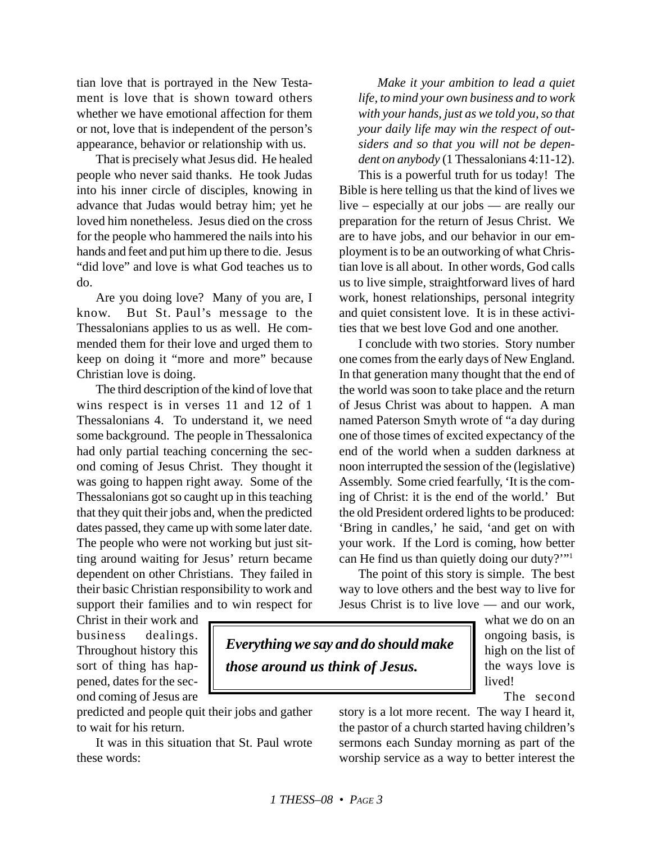tian love that is portrayed in the New Testament is love that is shown toward others whether we have emotional affection for them or not, love that is independent of the person's appearance, behavior or relationship with us.

That is precisely what Jesus did. He healed people who never said thanks. He took Judas into his inner circle of disciples, knowing in advance that Judas would betray him; yet he loved him nonetheless. Jesus died on the cross for the people who hammered the nails into his hands and feet and put him up there to die. Jesus "did love" and love is what God teaches us to do.

Are you doing love? Many of you are, I know. But St. Paul's message to the Thessalonians applies to us as well. He commended them for their love and urged them to keep on doing it "more and more" because Christian love is doing.

The third description of the kind of love that wins respect is in verses 11 and 12 of 1 Thessalonians 4. To understand it, we need some background. The people in Thessalonica had only partial teaching concerning the second coming of Jesus Christ. They thought it was going to happen right away. Some of the Thessalonians got so caught up in this teaching that they quit their jobs and, when the predicted dates passed, they came up with some later date. The people who were not working but just sitting around waiting for Jesus' return became dependent on other Christians. They failed in their basic Christian responsibility to work and support their families and to win respect for

*Make it your ambition to lead a quiet life, to mind your own business and to work with your hands, just as we told you, so that your daily life may win the respect of outsiders and so that you will not be dependent on anybody* (1 Thessalonians 4:11-12).

This is a powerful truth for us today! The Bible is here telling us that the kind of lives we live – especially at our jobs — are really our preparation for the return of Jesus Christ. We are to have jobs, and our behavior in our employment is to be an outworking of what Christian love is all about. In other words, God calls us to live simple, straightforward lives of hard work, honest relationships, personal integrity and quiet consistent love. It is in these activities that we best love God and one another.

I conclude with two stories. Story number one comes from the early days of New England. In that generation many thought that the end of the world was soon to take place and the return of Jesus Christ was about to happen. A man named Paterson Smyth wrote of "a day during one of those times of excited expectancy of the end of the world when a sudden darkness at noon interrupted the session of the (legislative) Assembly. Some cried fearfully, 'It is the coming of Christ: it is the end of the world.' But the old President ordered lights to be produced: 'Bring in candles,' he said, 'and get on with your work. If the Lord is coming, how better can He find us than quietly doing our duty?'"1

The point of this story is simple. The best way to love others and the best way to live for Jesus Christ is to live love — and our work,

Christ in their work and business dealings. Throughout history this sort of thing has happened, dates for the second coming of Jesus are

predicted and people quit their jobs and gather to wait for his return.

It was in this situation that St. Paul wrote these words:

*Everything we say and do should make those around us think of Jesus.*

what we do on an ongoing basis, is high on the list of the ways love is lived!

The second

story is a lot more recent. The way I heard it, the pastor of a church started having children's sermons each Sunday morning as part of the worship service as a way to better interest the